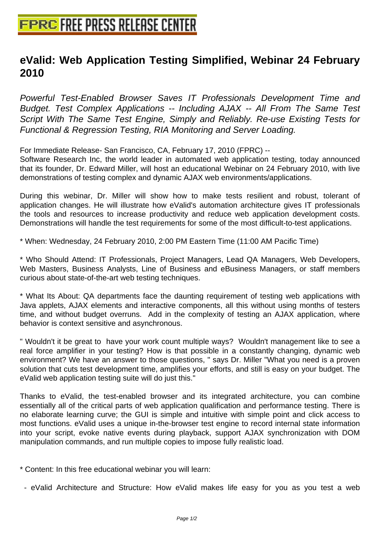## **[eValid: Web Application Testing S](http://www.free-press-release-center.info)implified, Webinar 24 February 2010**

Powerful Test-Enabled Browser Saves IT Professionals Development Time and Budget. Test Complex Applications -- Including AJAX -- All From The Same Test Script With The Same Test Engine, Simply and Reliably. Re-use Existing Tests for Functional & Regression Testing, RIA Monitoring and Server Loading.

For Immediate Release- San Francisco, CA, February 17, 2010 (FPRC) --

Software Research Inc, the world leader in automated web application testing, today announced that its founder, Dr. Edward Miller, will host an educational Webinar on 24 February 2010, with live demonstrations of testing complex and dynamic AJAX web environments/applications.

During this webinar, Dr. Miller will show how to make tests resilient and robust, tolerant of application changes. He will illustrate how eValid's automation architecture gives IT professionals the tools and resources to increase productivity and reduce web application development costs. Demonstrations will handle the test requirements for some of the most difficult-to-test applications.

\* When: Wednesday, 24 February 2010, 2:00 PM Eastern Time (11:00 AM Pacific Time)

\* Who Should Attend: IT Professionals, Project Managers, Lead QA Managers, Web Developers, Web Masters, Business Analysts, Line of Business and eBusiness Managers, or staff members curious about state-of-the-art web testing techniques.

\* What Its About: QA departments face the daunting requirement of testing web applications with Java applets, AJAX elements and interactive components, all this without using months of testers time, and without budget overruns. Add in the complexity of testing an AJAX application, where behavior is context sensitive and asynchronous.

" Wouldn't it be great to have your work count multiple ways? Wouldn't management like to see a real force amplifier in your testing? How is that possible in a constantly changing, dynamic web environment? We have an answer to those questions, " says Dr. Miller "What you need is a proven solution that cuts test development time, amplifies your efforts, and still is easy on your budget. The eValid web application testing suite will do just this."

Thanks to eValid, the test-enabled browser and its integrated architecture, you can combine essentially all of the critical parts of web application qualification and performance testing. There is no elaborate learning curve; the GUI is simple and intuitive with simple point and click access to most functions. eValid uses a unique in-the-browser test engine to record internal state information into your script, evoke native events during playback, support AJAX synchronization with DOM manipulation commands, and run multiple copies to impose fully realistic load.

\* Content: In this free educational webinar you will learn:

- eValid Architecture and Structure: How eValid makes life easy for you as you test a web